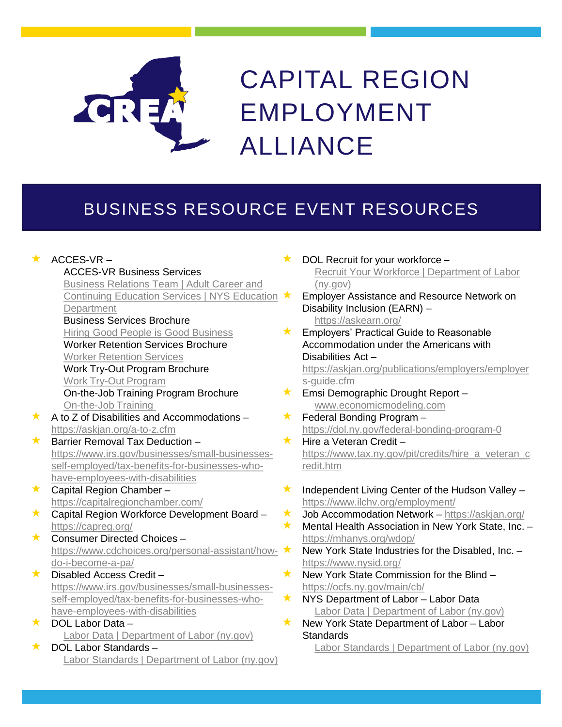

## CAPITAL REGION EMPLOYMENT ALLIANCE

## BUSINESS RESOURCE EVENT RESOURCES

|         | $\star$ ACCES-VR –                                                |
|---------|-------------------------------------------------------------------|
|         | <b>ACCES-VR Business Services</b>                                 |
|         | Business Relations Team   Adult Career and                        |
|         | <b>Continuing Education Services   NYS Education</b>              |
|         | Department                                                        |
|         | <b>Business Services Brochure</b>                                 |
|         | Hiring Good People is Good Business                               |
|         | <b>Worker Retention Services Brochure</b>                         |
|         | <b>Worker Retention Services</b>                                  |
|         | <b>Work Try-Out Program Brochure</b>                              |
|         | <b>Work Try-Out Program</b>                                       |
|         | On-the-Job Training Program Brochure                              |
|         | On-the-Job Training                                               |
| $\star$ | A to Z of Disabilities and Accommodations -                       |
|         | https://askjan.org/a-to-z.cfm                                     |
| $\star$ | Barrier Removal Tax Deduction -                                   |
|         | https://www.irs.gov/businesses/small-businesses-                  |
|         | self-employed/tax-benefits-for-businesses-who-                    |
|         | have-employees-with-disabilities                                  |
| $\star$ | Capital Region Chamber-                                           |
|         | https://capitalregionchamber.com/                                 |
| $\star$ | Capital Region Workforce Development Board -                      |
|         | https://capreg.org/                                               |
| $\star$ | Consumer Directed Choices -                                       |
|         | https://www.cdchoices.org/personal-assistant/how-                 |
|         | do-i-become-a-pa/                                                 |
| $\star$ | Disabled Access Credit-                                           |
|         | https://www.irs.gov/businesses/small-businesses-                  |
|         | self-employed/tax-benefits-for-businesses-who-                    |
|         | have-employees-with-disabilities                                  |
| $\star$ | DOL Labor Data -                                                  |
| $\star$ | Labor Data   Department of Labor (ny.gov)<br>DOL Labor Standards- |
|         | Labor Standards   Department of Labor (ny.gov)                    |
|         |                                                                   |

- DOL Recruit for your workforce [Recruit Your Workforce | Department of Labor](https://dol.ny.gov/recruit-your-workforce)  (ny.gov)
- **K** Employer Assistance and Resource Network on Disability Inclusion (EARN) – <https://askearn.org/>
- Employers' Practical Guide to Reasonable Accommodation under the Americans with Disabilities Act – [https://askjan.org/publications/employers/employer](https://askjan.org/publications/employers/employers-guide.cfm) s-guide.cfm
- **Emsi Demographic Drought Report** [www.economicmodeling.com](http://www.economicmodeling.com/)
- $\star$  Federal Bonding Program <https://dol.ny.gov/federal-bonding-program-0>
- $\star$  Hire a Veteran Credit [https://www.tax.ny.gov/pit/credits/hire\\_a\\_veteran\\_c](https://www.tax.ny.gov/pit/credits/hire_a_veteran_credit.htm) redit.htm
- $\star$  Independent Living Center of the Hudson Valley <https://www.ilchv.org/employment/>
- Job Accommodation Network <https://askjan.org/>
- Mental Health Association in New York State, Inc.  $$ <https://mhanys.org/wdop/>
- New York State Industries for the Disabled, Inc.  $$ <https://www.nysid.org/>
- New York State Commission for the Blind <https://ocfs.ny.gov/main/cb/>
- $\star$  NYS Department of Labor Labor Data [Labor Data | Department of Labor \(ny.gov\)](https://dol.ny.gov/labor-data)
	- New York State Department of Labor Labor **Standards** 
		- [Labor Standards | Department of Labor \(ny.gov\)](https://dol.ny.gov/labor-standards-0)